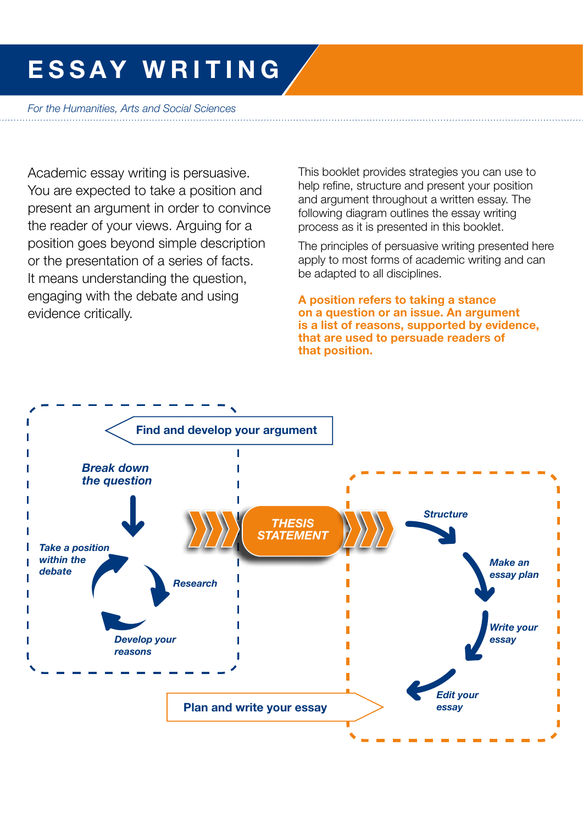# ESSAY WRITING

*For the Humanities, Arts and Social Sciences* 

Academic essay writing is persuasive. You are expected to take a position and present an argument in order to convince the reader of your views. Arguing for a position goes beyond simple description or the presentation of a series of facts. It means understanding the question, engaging with the debate and using evidence critically.

This booklet provides strategies you can use to help refine, structure and present your position and argument throughout a written essay. The following diagram outlines the essay writing process as it is presented in this booklet.

The principles of persuasive writing presented here apply to most forms of academic writing and can be adapted to all disciplines.

A position refers to taking a stance on a question or an issue. An argument is a list of reasons, supported by evidence, that are used to persuade readers of that position.

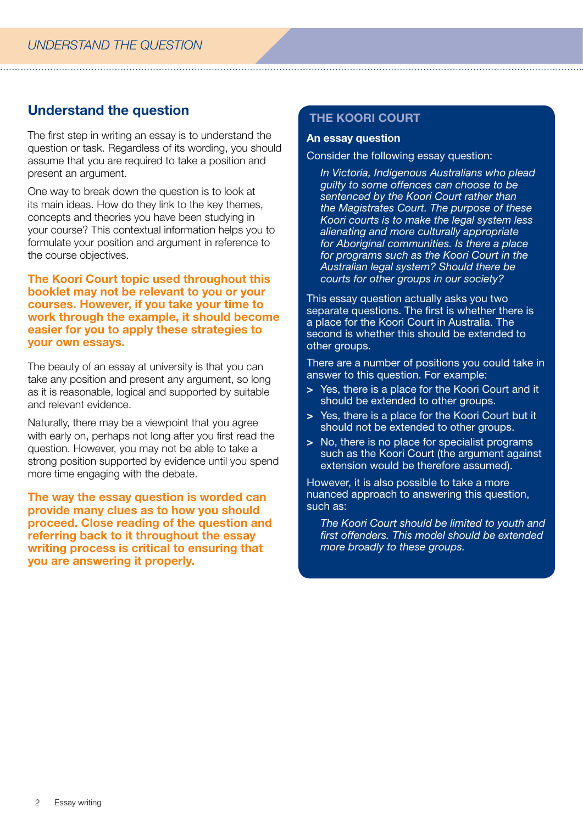# Understand the question

The first step in writing an essay is to understand the question or task. Regardless of its wording, you should assume that you are required to take a position and present an argument.

One way to break down the question is to look at its main ideas. How do they link to the key themes, concepts and theories you have been studying in your course? This contextual information helps you to formulate your position and argument in reference to the course objectives.

The Koori Court topic used throughout this booklet may not be relevant to you or your courses. However, if you take your time to work through the example, it should become easier for you to apply these strategies to your own essays.

The beauty of an essay at university is that you can take any position and present any argument, so long as it is reasonable, logical and supported by suitable and relevant evidence.

Naturally, there may be a viewpoint that you agree with early on, perhaps not long after you first read the question. However, you may not be able to take a strong position supported by evidence until you spend more time engaging with the debate.

The way the essay question is worded can provide many clues as to how you should proceed. Close reading of the question and referring back to it throughout the essay writing process is critical to ensuring that you are answering it properly.

## THE KOORI COURT

#### An essay question

Consider the following essay question:

*In Victoria, Indigenous Australians who plead guilty to some offences can choose to be sentenced by the Koori Court rather than the Magistrates Court. The purpose of these Koori courts is to make the legal system less alienating and more culturally appropriate for Aboriginal communities. Is there a place for programs such as the Koori Court in the Australian legal system? Should there be courts for other groups in our society?*

This essay question actually asks you two separate questions. The first is whether there is a place for the Koori Court in Australia. The second is whether this should be extended to other groups.

There are a number of positions you could take in answer to this question. For example:

- > Yes, there is a place for the Koori Court and it should be extended to other groups.
- > Yes, there is a place for the Koori Court but it should not be extended to other groups.
- > No, there is no place for specialist programs such as the Koori Court (the argument against extension would be therefore assumed).

However, it is also possible to take a more nuanced approach to answering this question, such as:

*The Koori Court should be limited to youth and first offenders. This model should be extended more broadly to these groups.*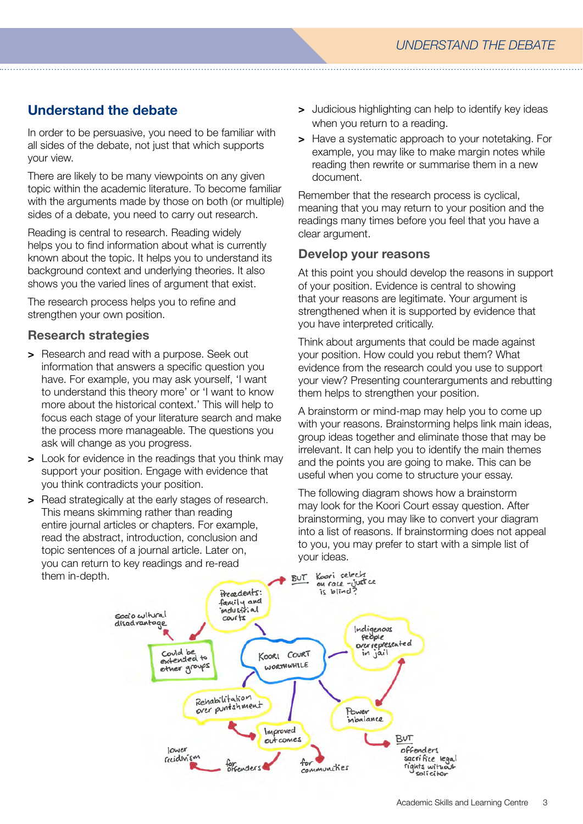# Understand the debate

In order to be persuasive, you need to be familiar with all sides of the debate, not just that which supports your view.

There are likely to be many viewpoints on any given topic within the academic literature. To become familiar with the arguments made by those on both (or multiple) sides of a debate, you need to carry out research.

Reading is central to research. Reading widely helps you to find information about what is currently known about the topic. It helps you to understand its background context and underlying theories. It also shows you the varied lines of argument that exist.

The research process helps you to refine and strengthen your own position.

## Research strategies

- > Research and read with a purpose. Seek out information that answers a specific question you have. For example, you may ask yourself, 'I want to understand this theory more' or 'I want to know more about the historical context.' This will help to focus each stage of your literature search and make the process more manageable. The questions you ask will change as you progress.
- > Look for evidence in the readings that you think may support your position. Engage with evidence that you think contradicts your position.
- > Read strategically at the early stages of research. This means skimming rather than reading entire journal articles or chapters. For example, read the abstract, introduction, conclusion and topic sentences of a journal article. Later on, you can return to key readings and re-read them in-depth.
- > Judicious highlighting can help to identify key ideas when you return to a reading.
- > Have a systematic approach to your notetaking. For example, you may like to make margin notes while reading then rewrite or summarise them in a new document.

Remember that the research process is cyclical, meaning that you may return to your position and the readings many times before you feel that you have a clear argument.

## Develop your reasons

At this point you should develop the reasons in support of your position. Evidence is central to showing that your reasons are legitimate. Your argument is strengthened when it is supported by evidence that you have interpreted critically.

Think about arguments that could be made against your position. How could you rebut them? What evidence from the research could you use to support your view? Presenting counterarguments and rebutting them helps to strengthen your position.

A brainstorm or mind-map may help you to come up with your reasons. Brainstorming helps link main ideas, group ideas together and eliminate those that may be irrelevant. It can help you to identify the main themes and the points you are going to make. This can be useful when you come to structure your essay.

The following diagram shows how a brainstorm may look for the Koori Court essay question. After brainstorming, you may like to convert your diagram into a list of reasons. If brainstorming does not appeal to you, you may prefer to start with a simple list of your ideas.

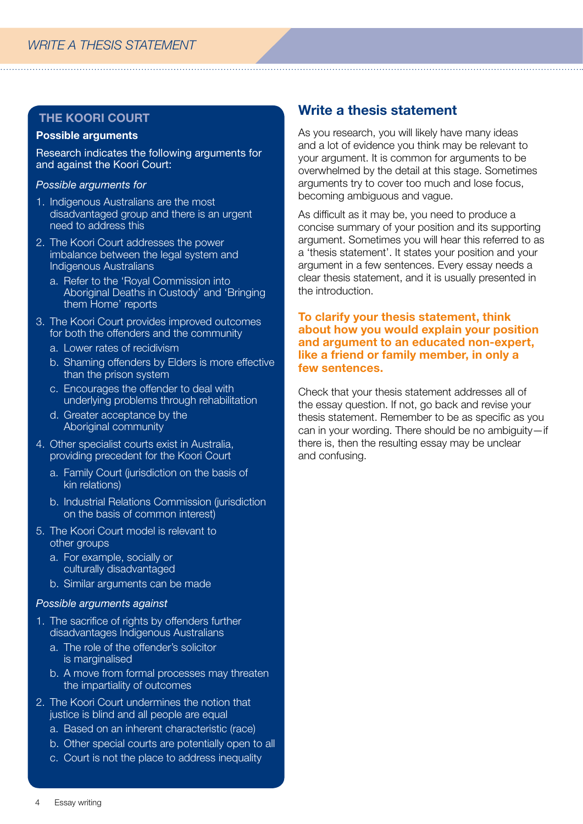#### Possible arguments

Research indicates the following arguments for and against the Koori Court:

#### *Possible arguments for*

- 1. Indigenous Australians are the most disadvantaged group and there is an urgent need to address this
- 2. The Koori Court addresses the power imbalance between the legal system and Indigenous Australians
	- a. Refer to the 'Royal Commission into Aboriginal Deaths in Custody' and 'Bringing them Home' reports
- 3. The Koori Court provides improved outcomes for both the offenders and the community
	- a. Lower rates of recidivism
	- b. Shaming offenders by Elders is more effective than the prison system
	- c. Encourages the offender to deal with underlying problems through rehabilitation
	- d. Greater acceptance by the Aboriginal community
- 4. Other specialist courts exist in Australia, providing precedent for the Koori Court
	- a. Family Court (jurisdiction on the basis of kin relations)
	- b. Industrial Relations Commission (jurisdiction) on the basis of common interest)
- 5. The Koori Court model is relevant to other groups
	- a. For example, socially or culturally disadvantaged
	- b. Similar arguments can be made

#### *Possible arguments against*

- 1. The sacrifice of rights by offenders further disadvantages Indigenous Australians
	- a. The role of the offender's solicitor is marginalised
	- b. A move from formal processes may threaten the impartiality of outcomes
- 2. The Koori Court undermines the notion that justice is blind and all people are equal
	- a. Based on an inherent characteristic (race)
	- b. Other special courts are potentially open to all
	- c. Court is not the place to address inequality

## Write a thesis statement

As you research, you will likely have many ideas and a lot of evidence you think may be relevant to your argument. It is common for arguments to be overwhelmed by the detail at this stage. Sometimes arguments try to cover too much and lose focus, becoming ambiguous and vague.

As difficult as it may be, you need to produce a concise summary of your position and its supporting argument. Sometimes you will hear this referred to as a 'thesis statement'. It states your position and your argument in a few sentences. Every essay needs a clear thesis statement, and it is usually presented in the introduction.

## To clarify your thesis statement, think about how you would explain your position and argument to an educated non-expert, like a friend or family member, in only a few sentences.

Check that your thesis statement addresses all of the essay question. If not, go back and revise your thesis statement. Remember to be as specific as you can in your wording. There should be no ambiguity—if there is, then the resulting essay may be unclear and confusing.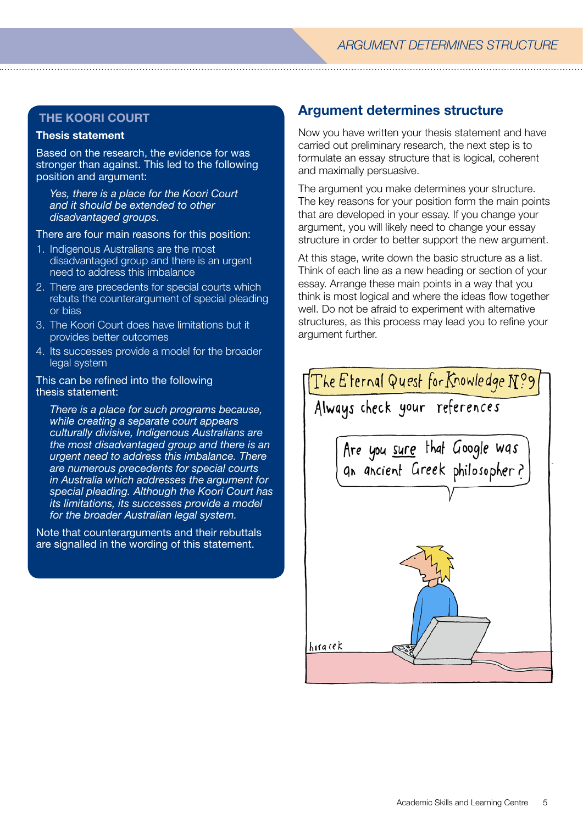#### Thesis statement

Based on the research, the evidence for was stronger than against. This led to the following position and argument:

*Yes, there is a place for the Koori Court and it should be extended to other disadvantaged groups.* 

There are four main reasons for this position:

- 1. Indigenous Australians are the most disadvantaged group and there is an urgent need to address this imbalance
- 2. There are precedents for special courts which rebuts the counterargument of special pleading or bias
- 3. The Koori Court does have limitations but it provides better outcomes
- 4. Its successes provide a model for the broader legal system

#### This can be refined into the following thesis statement:

*There is a place for such programs because, while creating a separate court appears culturally divisive, Indigenous Australians are the most disadvantaged group and there is an urgent need to address this imbalance. There are numerous precedents for special courts in Australia which addresses the argument for special pleading. Although the Koori Court has its limitations, its successes provide a model for the broader Australian legal system.*

Note that counterarguments and their rebuttals are signalled in the wording of this statement.

## Argument determines structure

Now you have written your thesis statement and have carried out preliminary research, the next step is to formulate an essay structure that is logical, coherent and maximally persuasive.

The argument you make determines your structure. The key reasons for your position form the main points that are developed in your essay. If you change your argument, you will likely need to change your essay structure in order to better support the new argument.

At this stage, write down the basic structure as a list. Think of each line as a new heading or section of your essay. Arrange these main points in a way that you think is most logical and where the ideas flow together well. Do not be afraid to experiment with alternative structures, as this process may lead you to refine your argument further.

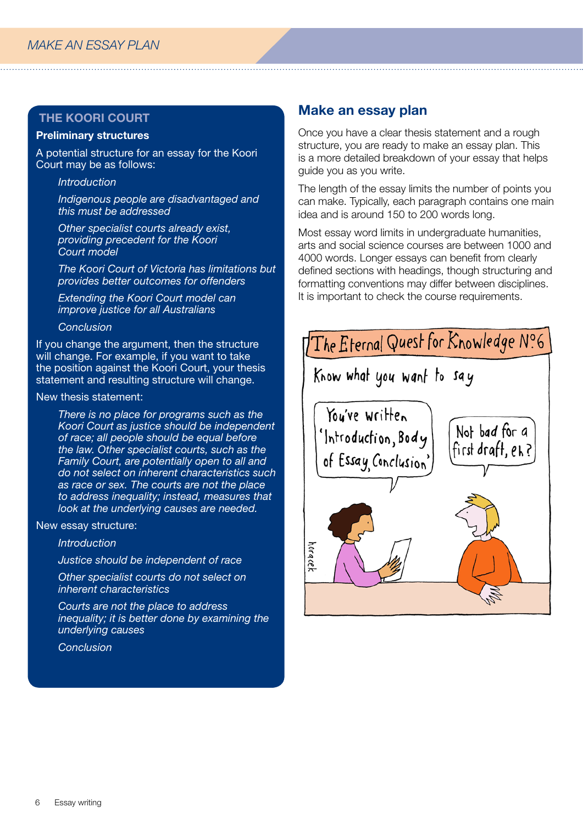## Preliminary structures

A potential structure for an essay for the Koori Court may be as follows:

*Introduction*

*Indigenous people are disadvantaged and this must be addressed*

*Other specialist courts already exist, providing precedent for the Koori Court model*

*The Koori Court of Victoria has limitations but provides better outcomes for offenders*

*Extending the Koori Court model can improve justice for all Australians*

#### *Conclusion*

If you change the argument, then the structure will change. For example, if you want to take the position against the Koori Court, your thesis statement and resulting structure will change.

#### New thesis statement:

*There is no place for programs such as the Koori Court as justice should be independent of race; all people should be equal before the law. Other specialist courts, such as the Family Court, are potentially open to all and do not select on inherent characteristics such as race or sex. The courts are not the place to address inequality; instead, measures that look at the underlying causes are needed.*

New essay structure:

*Introduction*

*Justice should be independent of race*

*Other specialist courts do not select on inherent characteristics*

*Courts are not the place to address inequality; it is better done by examining the underlying causes*

*Conclusion*

## Make an essay plan

Once you have a clear thesis statement and a rough structure, you are ready to make an essay plan. This is a more detailed breakdown of your essay that helps guide you as you write.

The length of the essay limits the number of points you can make. Typically, each paragraph contains one main idea and is around 150 to 200 words long.

Most essay word limits in undergraduate humanities, arts and social science courses are between 1000 and 4000 words. Longer essays can benefit from clearly defined sections with headings, though structuring and formatting conventions may differ between disciplines. It is important to check the course requirements.

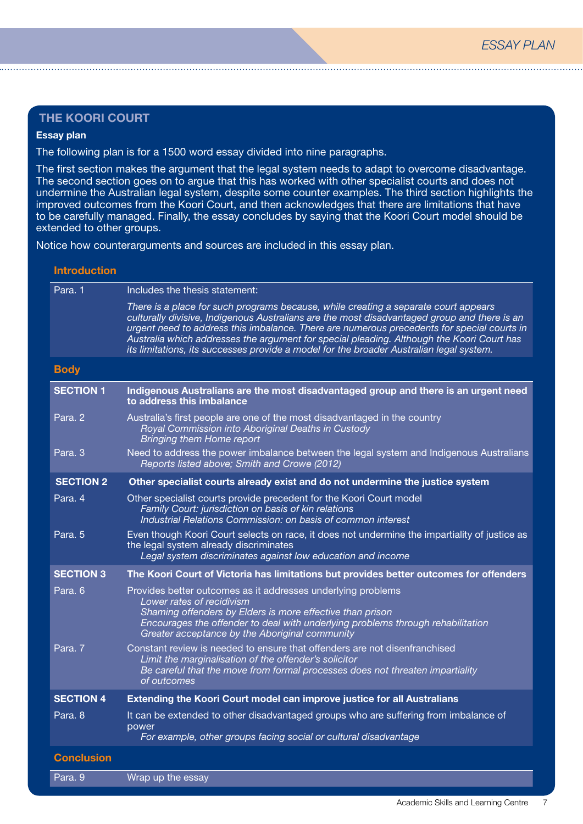#### Essay plan

The following plan is for a 1500 word essay divided into nine paragraphs.

The first section makes the argument that the legal system needs to adapt to overcome disadvantage. The second section goes on to argue that this has worked with other specialist courts and does not undermine the Australian legal system, despite some counter examples. The third section highlights the improved outcomes from the Koori Court, and then acknowledges that there are limitations that have to be carefully managed. Finally, the essay concludes by saying that the Koori Court model should be extended to other groups.

Notice how counterarguments and sources are included in this essay plan.

#### Introduction

| Para. 1           | Includes the thesis statement:                                                                                                                                                                                                                                                                                                                                                                                                                                            |
|-------------------|---------------------------------------------------------------------------------------------------------------------------------------------------------------------------------------------------------------------------------------------------------------------------------------------------------------------------------------------------------------------------------------------------------------------------------------------------------------------------|
|                   | There is a place for such programs because, while creating a separate court appears<br>culturally divisive, Indigenous Australians are the most disadvantaged group and there is an<br>urgent need to address this imbalance. There are numerous precedents for special courts in<br>Australia which addresses the argument for special pleading. Although the Koori Court has<br>its limitations, its successes provide a model for the broader Australian legal system. |
| <b>Body</b>       |                                                                                                                                                                                                                                                                                                                                                                                                                                                                           |
| <b>SECTION 1</b>  | Indigenous Australians are the most disadvantaged group and there is an urgent need<br>to address this imbalance                                                                                                                                                                                                                                                                                                                                                          |
| Para, 2           | Australia's first people are one of the most disadvantaged in the country<br>Royal Commission into Aboriginal Deaths in Custody<br><b>Bringing them Home report</b>                                                                                                                                                                                                                                                                                                       |
| Para, 3           | Need to address the power imbalance between the legal system and Indigenous Australians<br>Reports listed above; Smith and Crowe (2012)                                                                                                                                                                                                                                                                                                                                   |
| <b>SECTION 2</b>  | Other specialist courts already exist and do not undermine the justice system                                                                                                                                                                                                                                                                                                                                                                                             |
| Para. 4           | Other specialist courts provide precedent for the Koori Court model<br>Family Court: jurisdiction on basis of kin relations<br>Industrial Relations Commission: on basis of common interest                                                                                                                                                                                                                                                                               |
| Para. 5           | Even though Koori Court selects on race, it does not undermine the impartiality of justice as<br>the legal system already discriminates<br>Legal system discriminates against low education and income                                                                                                                                                                                                                                                                    |
| <b>SECTION 3</b>  | The Koori Court of Victoria has limitations but provides better outcomes for offenders                                                                                                                                                                                                                                                                                                                                                                                    |
| Para. 6           | Provides better outcomes as it addresses underlying problems<br>Lower rates of recidivism<br>Shaming offenders by Elders is more effective than prison<br>Encourages the offender to deal with underlying problems through rehabilitation<br>Greater acceptance by the Aboriginal community                                                                                                                                                                               |
| Para. 7           | Constant review is needed to ensure that offenders are not disenfranchised<br>Limit the marginalisation of the offender's solicitor<br>Be careful that the move from formal processes does not threaten impartiality<br>of outcomes                                                                                                                                                                                                                                       |
| <b>SECTION 4</b>  | Extending the Koori Court model can improve justice for all Australians                                                                                                                                                                                                                                                                                                                                                                                                   |
| Para. 8           | It can be extended to other disadvantaged groups who are suffering from imbalance of<br>power<br>For example, other groups facing social or cultural disadvantage                                                                                                                                                                                                                                                                                                         |
| <b>Conclusion</b> |                                                                                                                                                                                                                                                                                                                                                                                                                                                                           |
| Para. 9           | Wrap up the essay                                                                                                                                                                                                                                                                                                                                                                                                                                                         |
|                   |                                                                                                                                                                                                                                                                                                                                                                                                                                                                           |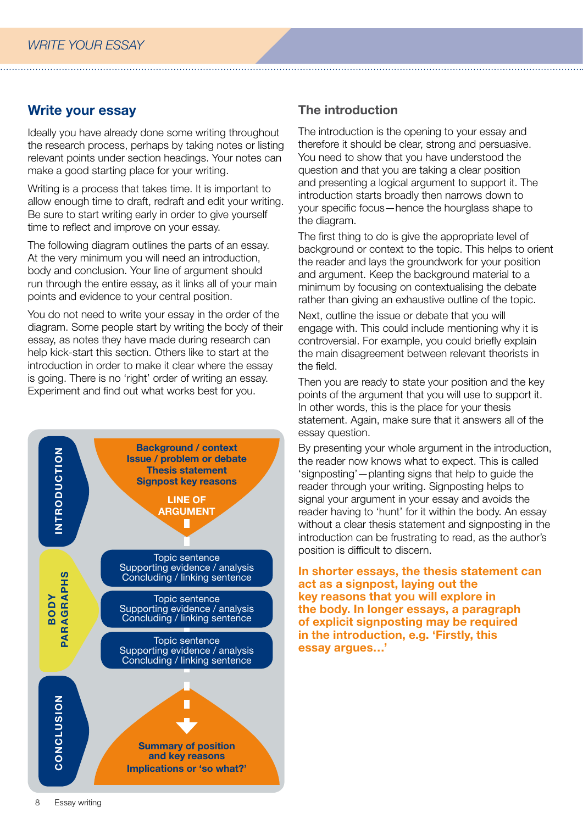## Write your essay

Ideally you have already done some writing throughout the research process, perhaps by taking notes or listing relevant points under section headings. Your notes can make a good starting place for your writing.

Writing is a process that takes time. It is important to allow enough time to draft, redraft and edit your writing. Be sure to start writing early in order to give yourself time to reflect and improve on your essay.

The following diagram outlines the parts of an essay. At the very minimum you will need an introduction, body and conclusion. Your line of argument should run through the entire essay, as it links all of your main points and evidence to your central position.

You do not need to write your essay in the order of the diagram. Some people start by writing the body of their essay, as notes they have made during research can help kick-start this section. Others like to start at the introduction in order to make it clear where the essay is going. There is no 'right' order of writing an essay. Experiment and find out what works best for you.



## The introduction

The introduction is the opening to your essay and therefore it should be clear, strong and persuasive. You need to show that you have understood the question and that you are taking a clear position and presenting a logical argument to support it. The introduction starts broadly then narrows down to your specific focus—hence the hourglass shape to the diagram.

The first thing to do is give the appropriate level of background or context to the topic. This helps to orient the reader and lays the groundwork for your position and argument. Keep the background material to a minimum by focusing on contextualising the debate rather than giving an exhaustive outline of the topic.

Next, outline the issue or debate that you will engage with. This could include mentioning why it is controversial. For example, you could briefly explain the main disagreement between relevant theorists in the field.

Then you are ready to state your position and the key points of the argument that you will use to support it. In other words, this is the place for your thesis statement. Again, make sure that it answers all of the essay question.

By presenting your whole argument in the introduction, the reader now knows what to expect. This is called 'signposting'—planting signs that help to guide the reader through your writing. Signposting helps to signal your argument in your essay and avoids the reader having to 'hunt' for it within the body. An essay without a clear thesis statement and signposting in the introduction can be frustrating to read, as the author's position is difficult to discern.

In shorter essays, the thesis statement can act as a signpost, laying out the key reasons that you will explore in the body. In longer essays, a paragraph of explicit signposting may be required in the introduction, e.g. 'Firstly, this essay argues…'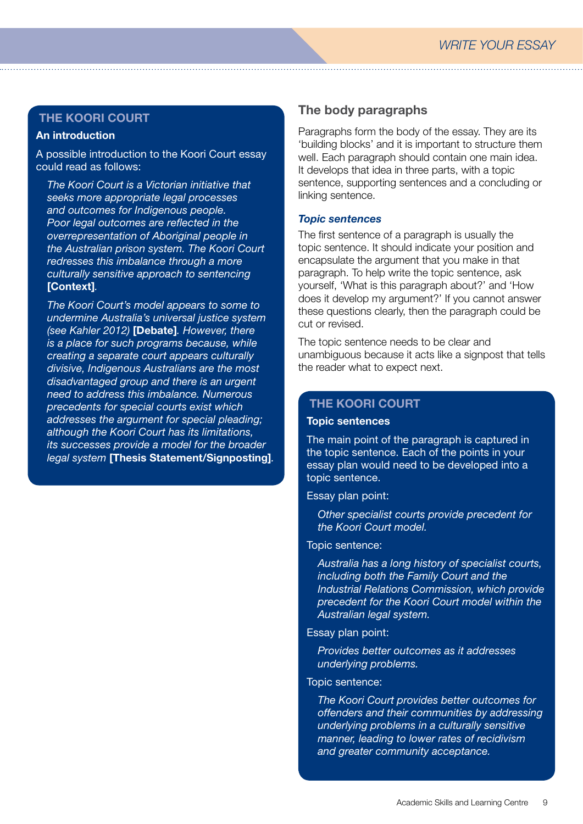## An introduction

A possible introduction to the Koori Court essay could read as follows:

*The Koori Court is a Victorian initiative that seeks more appropriate legal processes and outcomes for Indigenous people. Poor legal outcomes are reflected in the overrepresentation of Aboriginal people in the Australian prison system. The Koori Court redresses this imbalance through a more culturally sensitive approach to sentencing*  [Context]*.*

*The Koori Court's model appears to some to undermine Australia's universal justice system (see Kahler 2012)* [Debate]*. However, there is a place for such programs because, while creating a separate court appears culturally divisive, Indigenous Australians are the most disadvantaged group and there is an urgent need to address this imbalance. Numerous precedents for special courts exist which addresses the argument for special pleading; although the Koori Court has its limitations, its successes provide a model for the broader legal system* [Thesis Statement/Signposting]*.*

## The body paragraphs

Paragraphs form the body of the essay. They are its 'building blocks' and it is important to structure them well. Each paragraph should contain one main idea. It develops that idea in three parts, with a topic sentence, supporting sentences and a concluding or linking sentence.

#### *Topic sentences*

The first sentence of a paragraph is usually the topic sentence. It should indicate your position and encapsulate the argument that you make in that paragraph. To help write the topic sentence, ask yourself, 'What is this paragraph about?' and 'How does it develop my argument?' If you cannot answer these questions clearly, then the paragraph could be cut or revised.

The topic sentence needs to be clear and unambiguous because it acts like a signpost that tells the reader what to expect next.

## THE KOORI COURT

#### Topic sentences

The main point of the paragraph is captured in the topic sentence. Each of the points in your essay plan would need to be developed into a topic sentence.

#### Essay plan point:

*Other specialist courts provide precedent for the Koori Court model.*

## Topic sentence:

*Australia has a long history of specialist courts, including both the Family Court and the Industrial Relations Commission, which provide precedent for the Koori Court model within the Australian legal system.*

#### Essay plan point:

*Provides better outcomes as it addresses underlying problems.*

## Topic sentence:

*The Koori Court provides better outcomes for offenders and their communities by addressing underlying problems in a culturally sensitive manner, leading to lower rates of recidivism and greater community acceptance.*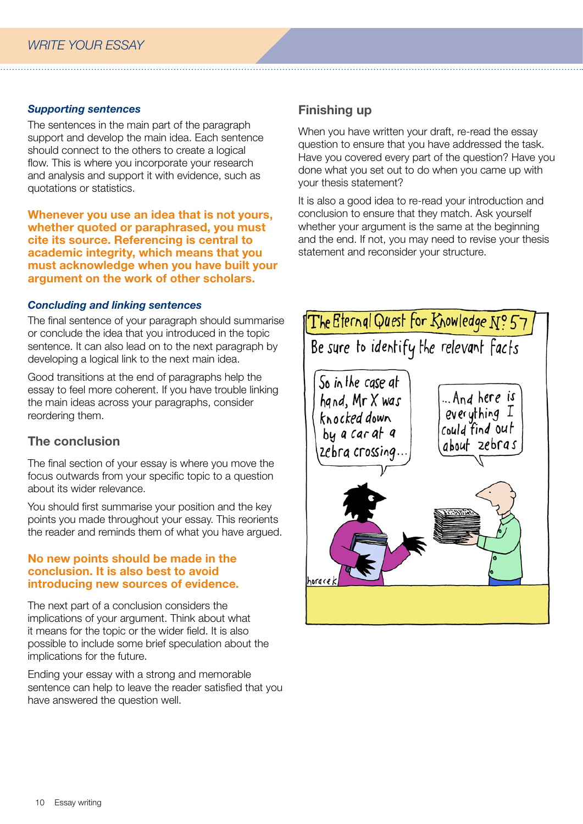## *Supporting sentences*

The sentences in the main part of the paragraph support and develop the main idea. Each sentence should connect to the others to create a logical flow. This is where you incorporate your research and analysis and support it with evidence, such as quotations or statistics.

Whenever you use an idea that is not yours, whether quoted or paraphrased, you must cite its source. Referencing is central to academic integrity, which means that you must acknowledge when you have built your argument on the work of other scholars.

## *Concluding and linking sentences*

The final sentence of your paragraph should summarise or conclude the idea that you introduced in the topic sentence. It can also lead on to the next paragraph by developing a logical link to the next main idea.

Good transitions at the end of paragraphs help the essay to feel more coherent. If you have trouble linking the main ideas across your paragraphs, consider reordering them.

## The conclusion

The final section of your essay is where you move the focus outwards from your specific topic to a question about its wider relevance.

You should first summarise your position and the key points you made throughout your essay. This reorients the reader and reminds them of what you have argued.

#### No new points should be made in the conclusion. It is also best to avoid introducing new sources of evidence.

The next part of a conclusion considers the implications of your argument. Think about what it means for the topic or the wider field. It is also possible to include some brief speculation about the implications for the future.

Ending your essay with a strong and memorable sentence can help to leave the reader satisfied that you have answered the question well.

## Finishing up

When you have written your draft, re-read the essay question to ensure that you have addressed the task. Have you covered every part of the question? Have you done what you set out to do when you came up with your thesis statement?

It is also a good idea to re-read your introduction and conclusion to ensure that they match. Ask yourself whether your argument is the same at the beginning and the end. If not, you may need to revise your thesis statement and reconsider your structure.

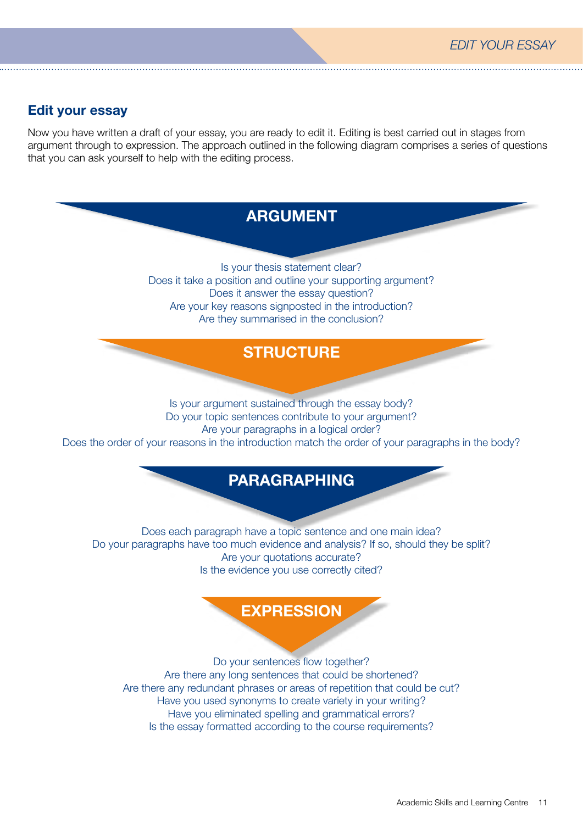## Edit your essay

Now you have written a draft of your essay, you are ready to edit it. Editing is best carried out in stages from argument through to expression. The approach outlined in the following diagram comprises a series of questions that you can ask yourself to help with the editing process.